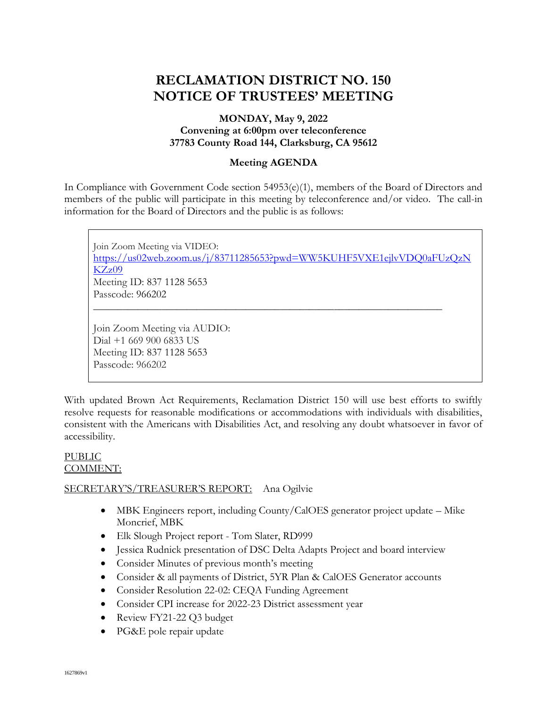# **RECLAMATION DISTRICT NO. 150 NOTICE OF TRUSTEES' MEETING**

# **MONDAY, May 9, 2022 Convening at 6:00pm over teleconference 37783 County Road 144, Clarksburg, CA 95612**

## **Meeting AGENDA**

In Compliance with Government Code section 54953(e)(1), members of the Board of Directors and members of the public will participate in this meeting by teleconference and/or video. The call-in information for the Board of Directors and the public is as follows:

Join Zoom Meeting via VIDEO: [https://us02web.zoom.us/j/83711285653?pwd=WW5KUHF5VXE1ejlvVDQ0aFUzQzN](https://us02web.zoom.us/j/83711285653?pwd=WW5KUHF5VXE1ejlvVDQ0aFUzQzNKZz09) [KZz09](https://us02web.zoom.us/j/83711285653?pwd=WW5KUHF5VXE1ejlvVDQ0aFUzQzNKZz09) Meeting ID: 837 1128 5653 Passcode: 966202 \_\_\_\_\_\_\_\_\_\_\_\_\_\_\_\_\_\_\_\_\_\_\_\_\_\_\_\_\_\_\_\_\_\_\_\_\_\_\_\_\_\_\_\_\_\_\_\_\_\_\_\_\_\_\_\_\_\_\_\_\_\_\_\_\_\_\_\_\_\_\_ Join Zoom Meeting via AUDIO:

Dial +1 669 900 6833 US Meeting ID: 837 1128 5653 Passcode: 966202

With updated Brown Act Requirements, Reclamation District 150 will use best efforts to swiftly resolve requests for reasonable modifications or accommodations with individuals with disabilities, consistent with the Americans with Disabilities Act, and resolving any doubt whatsoever in favor of accessibility.

### PUBLIC COMMENT:

# SECRETARY'S/TREASURER'S REPORT: Ana Ogilvie

- MBK Engineers report, including County/CalOES generator project update Mike Moncrief, MBK
- Elk Slough Project report Tom Slater, RD999
- Jessica Rudnick presentation of DSC Delta Adapts Project and board interview
- Consider Minutes of previous month's meeting
- Consider & all payments of District, 5YR Plan & CalOES Generator accounts
- Consider Resolution 22-02: CEQA Funding Agreement
- Consider CPI increase for 2022-23 District assessment year
- Review FY21-22 Q3 budget
- PG&E pole repair update